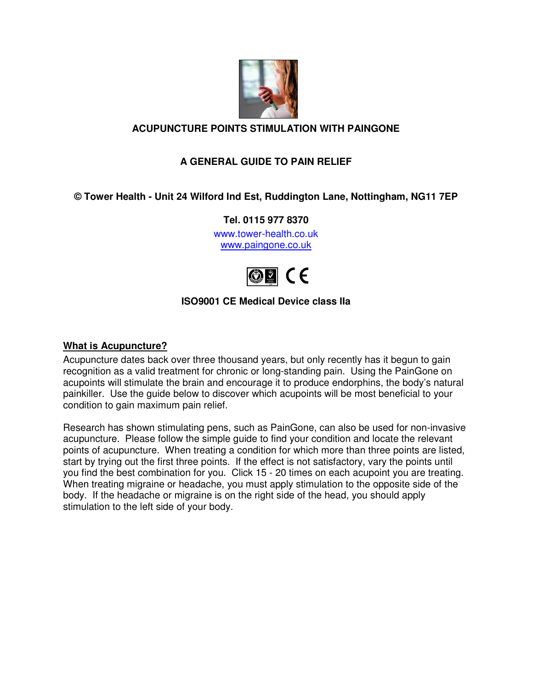

## **ACUPUNCTURE POINTS STIMULATION WITH PAINGONE**

# **A GENERAL GUIDE TO PAIN RELIEF**

## **© Tower Health - Unit 24 Wilford Ind Est, Ruddington Lane, Nottingham, NG11 7EP**

**Tel. 0115 977 8370** 

www.tower-health.co.uk www.paingone.co.uk



## **ISO9001 CE Medical Device class IIa**

#### **What is Acupuncture?**

Acupuncture dates back over three thousand years, but only recently has it begun to gain recognition as a valid treatment for chronic or long-standing pain. Using the PainGone on acupoints will stimulate the brain and encourage it to produce endorphins, the body's natural painkiller. Use the guide below to discover which acupoints will be most beneficial to your condition to gain maximum pain relief.

Research has shown stimulating pens, such as PainGone, can also be used for non-invasive acupuncture. Please follow the simple guide to find your condition and locate the relevant points of acupuncture. When treating a condition for which more than three points are listed, start by trying out the first three points. If the effect is not satisfactory, vary the points until you find the best combination for you. Click 15 - 20 times on each acupoint you are treating. When treating migraine or headache, you must apply stimulation to the opposite side of the body. If the headache or migraine is on the right side of the head, you should apply stimulation to the left side of your body.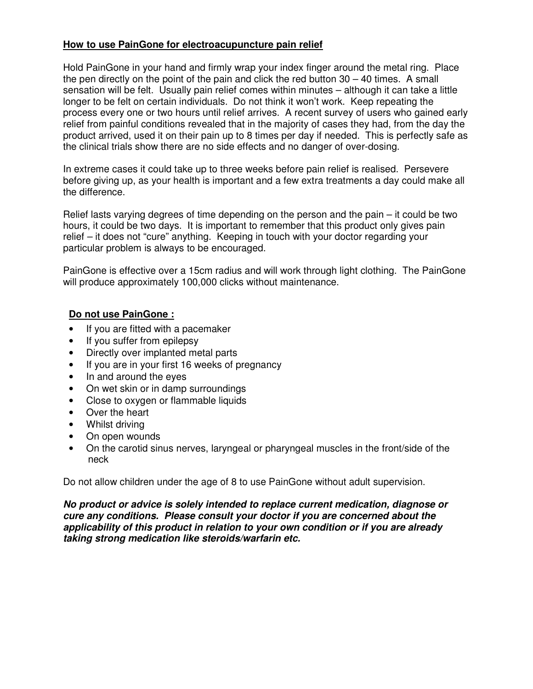#### **How to use PainGone for electroacupuncture pain relief**

Hold PainGone in your hand and firmly wrap your index finger around the metal ring. Place the pen directly on the point of the pain and click the red button  $30 - 40$  times. A small sensation will be felt. Usually pain relief comes within minutes – although it can take a little longer to be felt on certain individuals. Do not think it won't work. Keep repeating the process every one or two hours until relief arrives. A recent survey of users who gained early relief from painful conditions revealed that in the majority of cases they had, from the day the product arrived, used it on their pain up to 8 times per day if needed. This is perfectly safe as the clinical trials show there are no side effects and no danger of over-dosing.

In extreme cases it could take up to three weeks before pain relief is realised. Persevere before giving up, as your health is important and a few extra treatments a day could make all the difference.

Relief lasts varying degrees of time depending on the person and the pain – it could be two hours, it could be two days. It is important to remember that this product only gives pain relief – it does not "cure" anything. Keeping in touch with your doctor regarding your particular problem is always to be encouraged.

PainGone is effective over a 15cm radius and will work through light clothing. The PainGone will produce approximately 100,000 clicks without maintenance.

#### **Do not use PainGone :**

- If you are fitted with a pacemaker
- If you suffer from epilepsy
- Directly over implanted metal parts
- If you are in your first 16 weeks of pregnancy
- In and around the eyes
- On wet skin or in damp surroundings
- Close to oxygen or flammable liquids
- Over the heart
- Whilst driving
- On open wounds
- On the carotid sinus nerves, laryngeal or pharyngeal muscles in the front/side of the neck

Do not allow children under the age of 8 to use PainGone without adult supervision.

**No product or advice is solely intended to replace current medication, diagnose or cure any conditions. Please consult your doctor if you are concerned about the applicability of this product in relation to your own condition or if you are already taking strong medication like steroids/warfarin etc.**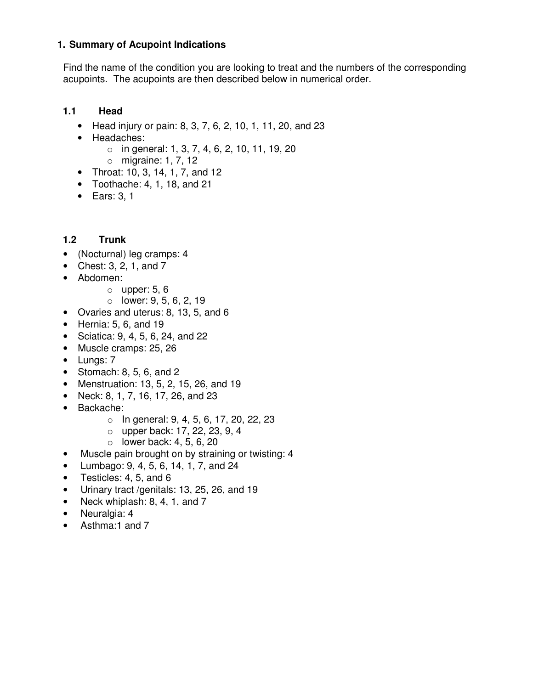#### **1. Summary of Acupoint Indications**

Find the name of the condition you are looking to treat and the numbers of the corresponding acupoints. The acupoints are then described below in numerical order.

### **1.1 Head**

- Head injury or pain: 8, 3, 7, 6, 2, 10, 1, 11, 20, and 23
- Headaches:
	- $\circ$  in general: 1, 3, 7, 4, 6, 2, 10, 11, 19, 20
	- o migraine: 1, 7, 12
- Throat: 10, 3, 14, 1, 7, and 12
- Toothache:  $4, 1, 18,$  and  $21$
- Ears: 3, 1

## **1.2 Trunk**

- (Nocturnal) leg cramps: 4
- Chest: 3, 2, 1, and 7
- Abdomen:
	- $\circ$  upper: 5, 6
	- $\circ$  lower: 9, 5, 6, 2, 19
- Ovaries and uterus: 8, 13, 5, and 6
- $\bullet$  Hernia: 5, 6, and 19
- Sciatica: 9, 4, 5, 6, 24, and 22
- Muscle cramps: 25, 26
- Lungs: 7
- Stomach:  $8, 5, 6,$  and  $2$
- Menstruation: 13, 5, 2, 15, 26, and 19
- Neck: 8, 1, 7, 16, 17, 26, and 23
- Backache:
	- $\circ$  In general: 9, 4, 5, 6, 17, 20, 22, 23
	- o upper back: 17, 22, 23, 9, 4
	- $\circ$  lower back: 4, 5, 6, 20
- Muscle pain brought on by straining or twisting: 4
- Lumbago: 9, 4, 5, 6, 14, 1, 7, and 24
- Testicles: 4, 5, and 6
- Urinary tract /genitals: 13, 25, 26, and 19
- Neck whiplash: 8, 4, 1, and 7
- Neuralgia: 4
- Asthma:1 and 7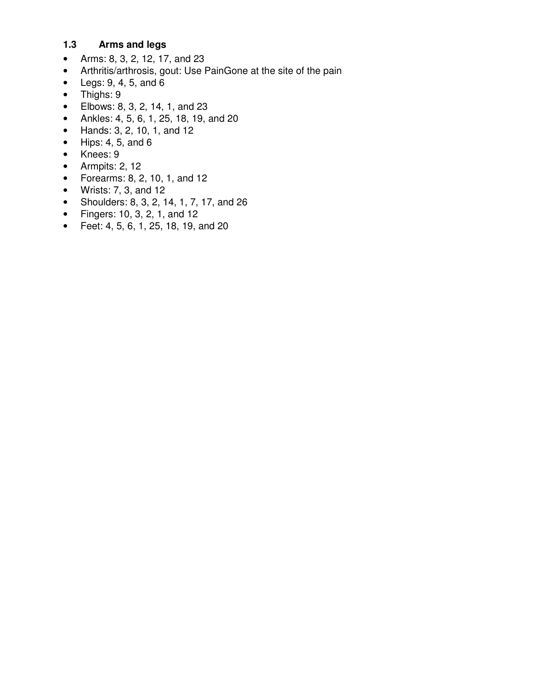## **1.3 Arms and legs**

- Arms: 8, 3, 2, 12, 17, and 23
- Arthritis/arthrosis, gout: Use PainGone at the site of the pain
- Legs:  $9, 4, 5,$  and  $6$
- Thighs: 9
- Elbows: 8, 3, 2, 14, 1, and 23
- Ankles: 4, 5, 6, 1, 25, 18, 19, and 20
- Hands: 3, 2, 10, 1, and 12
- $\bullet$  Hips: 4, 5, and 6
- Knees: 9
- Armpits: 2, 12
- Forearms: 8, 2, 10, 1, and 12
- Wrists: 7, 3, and 12
- Shoulders: 8, 3, 2, 14, 1, 7, 17, and 26
- Fingers: 10, 3, 2, 1, and 12
- Feet: 4, 5, 6, 1, 25, 18, 19, and 20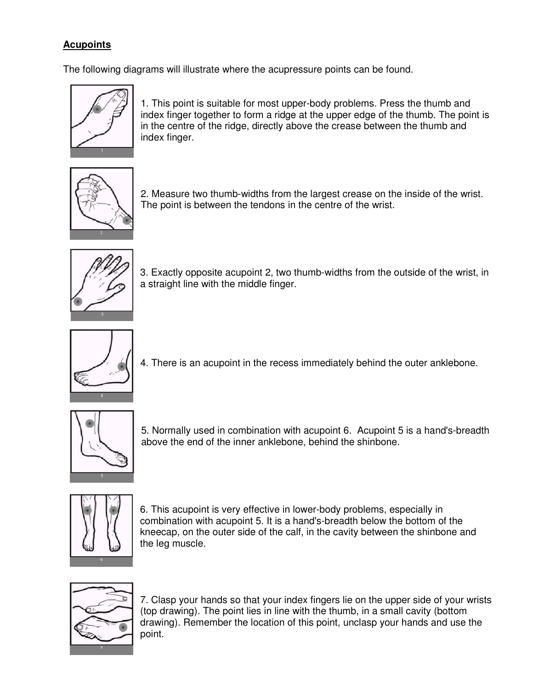# **Acupoints**

The following diagrams will illustrate where the acupressure points can be found.



1. This point is suitable for most upper-body problems. Press the thumb and index finger together to form a ridge at the upper edge of the thumb. The point is in the centre of the ridge, directly above the crease between the thumb and index finger.



2. Measure two thumb-widths from the largest crease on the inside of the wrist. The point is between the tendons in the centre of the wrist.



3. Exactly opposite acupoint 2, two thumb-widths from the outside of the wrist, in a straight line with the middle finger.



4. There is an acupoint in the recess immediately behind the outer anklebone.



5. Normally used in combination with acupoint 6. Acupoint 5 is a hand's-breadth above the end of the inner anklebone, behind the shinbone.



6. This acupoint is very effective in lower-body problems, especially in combination with acupoint 5. It is a hand's-breadth below the bottom of the kneecap, on the outer side of the calf, in the cavity between the shinbone and the leg muscle.



7. Clasp your hands so that your index fingers lie on the upper side of your wrists (top drawing). The point lies in line with the thumb, in a small cavity (bottom drawing). Remember the location of this point, unclasp your hands and use the point.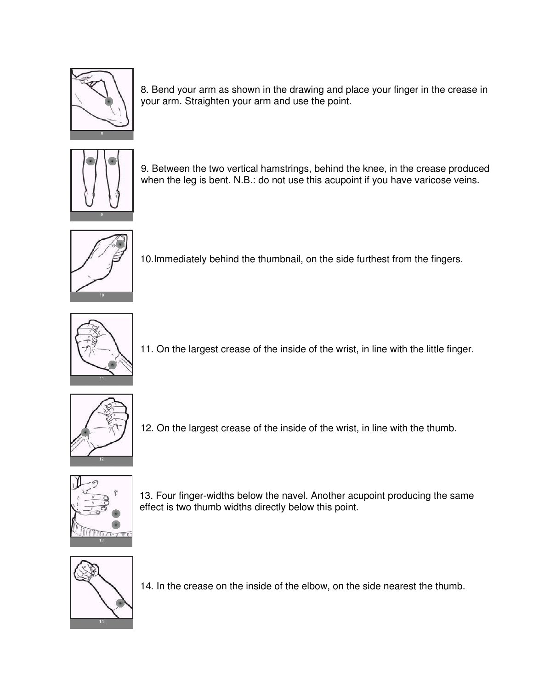

8. Bend your arm as shown in the drawing and place your finger in the crease in your arm. Straighten your arm and use the point.



9. Between the two vertical hamstrings, behind the knee, in the crease produced when the leg is bent. N.B.: do not use this acupoint if you have varicose veins.



10.Immediately behind the thumbnail, on the side furthest from the fingers.



11. On the largest crease of the inside of the wrist, in line with the little finger.



12. On the largest crease of the inside of the wrist, in line with the thumb.



13. Four finger-widths below the navel. Another acupoint producing the same effect is two thumb widths directly below this point.



14. In the crease on the inside of the elbow, on the side nearest the thumb.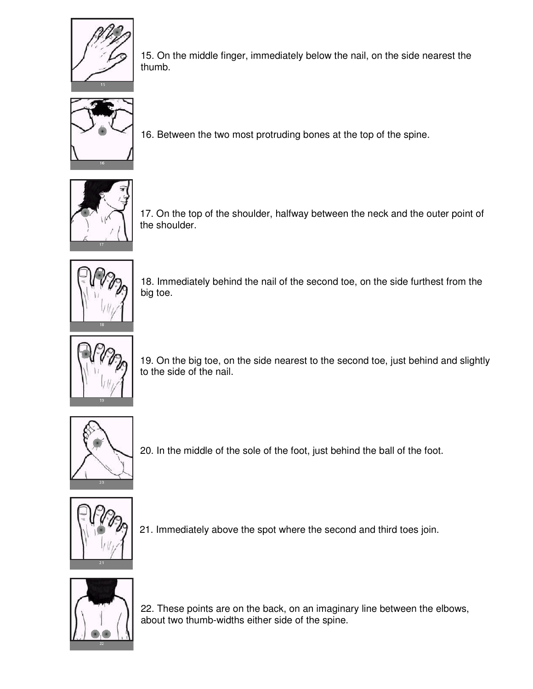

15. On the middle finger, immediately below the nail, on the side nearest the thumb.



16. Between the two most protruding bones at the top of the spine.



17. On the top of the shoulder, halfway between the neck and the outer point of the shoulder.



18. Immediately behind the nail of the second toe, on the side furthest from the big toe.



19. On the big toe, on the side nearest to the second toe, just behind and slightly to the side of the nail.



20. In the middle of the sole of the foot, just behind the ball of the foot.



21. Immediately above the spot where the second and third toes join.



22. These points are on the back, on an imaginary line between the elbows, about two thumb-widths either side of the spine.